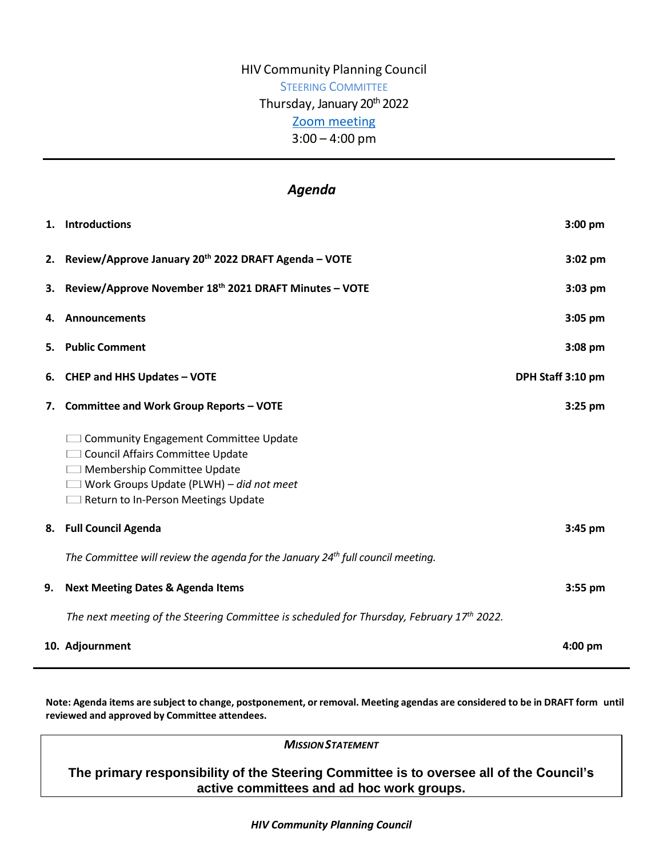# HIV Community Planning Council STEERING COMMITTEE Thursday, January 20<sup>th</sup> 2022 [Zoom meeting](https://us02web.zoom.us/j/83915304810?pwd=UytGNEs0WWhPQzB5TGlRUjFFS2lVdz09) 3:00 – 4:00 pm

## *Agenda*

|    | 1. Introductions                                                                                                                                                                                          | $3:00$ pm         |
|----|-----------------------------------------------------------------------------------------------------------------------------------------------------------------------------------------------------------|-------------------|
|    | 2. Review/Approve January 20th 2022 DRAFT Agenda - VOTE                                                                                                                                                   | $3:02$ pm         |
| 3. | Review/Approve November 18th 2021 DRAFT Minutes - VOTE                                                                                                                                                    | $3:03$ pm         |
| 4. | <b>Announcements</b>                                                                                                                                                                                      | $3:05$ pm         |
| 5. | <b>Public Comment</b>                                                                                                                                                                                     | $3:08$ pm         |
| 6. | <b>CHEP and HHS Updates - VOTE</b>                                                                                                                                                                        | DPH Staff 3:10 pm |
| 7. | <b>Committee and Work Group Reports - VOTE</b>                                                                                                                                                            | $3:25$ pm         |
|    | <b>Community Engagement Committee Update</b><br><b>Council Affairs Committee Update</b><br>Membership Committee Update<br>Work Groups Update (PLWH) - did not meet<br>Return to In-Person Meetings Update |                   |
| 8. | <b>Full Council Agenda</b>                                                                                                                                                                                | 3:45 pm           |
|    | The Committee will review the agenda for the January $24th$ full council meeting.                                                                                                                         |                   |
| 9. | <b>Next Meeting Dates &amp; Agenda Items</b>                                                                                                                                                              | $3:55$ pm         |
|    | The next meeting of the Steering Committee is scheduled for Thursday, February $17th$ 2022.                                                                                                               |                   |
|    | 10. Adjournment                                                                                                                                                                                           | $4:00 \text{ pm}$ |

Note: Agenda items are subject to change, postponement, or removal. Meeting agendas are considered to be in DRAFT form until **reviewed and approved by Committee attendees.**

*MISSIONSTATEMENT*

**The primary responsibility of the Steering Committee is to oversee all of the Council's active committees and ad hoc work groups.**

*HIV Community Planning Council*